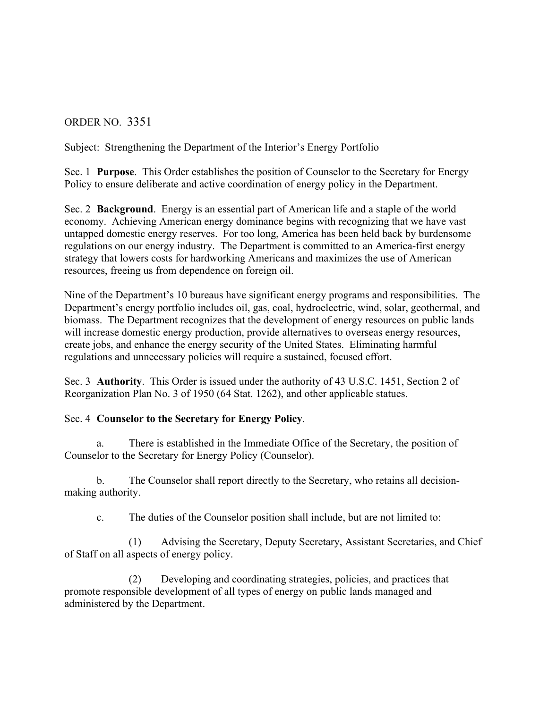## ORDER NO. 3351

Subject: Strengthening the Department of the Interior's Energy Portfolio

Sec. 1 **Purpose**. This Order establishes the position of Counselor to the Secretary for Energy Policy to ensure deliberate and active coordination of energy policy in the Department.

Sec. 2 **Background**. Energy is an essential part of American life and a staple of the world economy. Achieving American energy dominance begins with recognizing that we have vast untapped domestic energy reserves. For too long, America has been held back by burdensome regulations on our energy industry. The Department is committed to an America-first energy strategy that lowers costs for hardworking Americans and maximizes the use of American resources, freeing us from dependence on foreign oil.

Nine of the Department's 10 bureaus have significant energy programs and responsibilities. The Department's energy portfolio includes oil, gas, coal, hydroelectric, wind, solar, geothermal, and biomass. The Department recognizes that the development of energy resources on public lands will increase domestic energy production, provide alternatives to overseas energy resources, create jobs, and enhance the energy security of the United States. Eliminating harmful regulations and unnecessary policies will require a sustained, focused effort.

Sec. 3 **Authority**. This Order is issued under the authority of 43 U.S.C. 1451, Section 2 of Reorganization Plan No. 3 of 1950 (64 Stat. 1262), and other applicable statues.

## Sec. 4 **Counselor to the Secretary for Energy Policy**.

a. There is established in the Immediate Office of the Secretary, the position of Counselor to the Secretary for Energy Policy (Counselor).

b. The Counselor shall report directly to the Secretary, who retains all decisionmaking authority.

c. The duties of the Counselor position shall include, but are not limited to:

(1) Advising the Secretary, Deputy Secretary, Assistant Secretaries, and Chief of Staff on all aspects of energy policy.

(2) Developing and coordinating strategies, policies, and practices that promote responsible development of all types of energy on public lands managed and administered by the Department.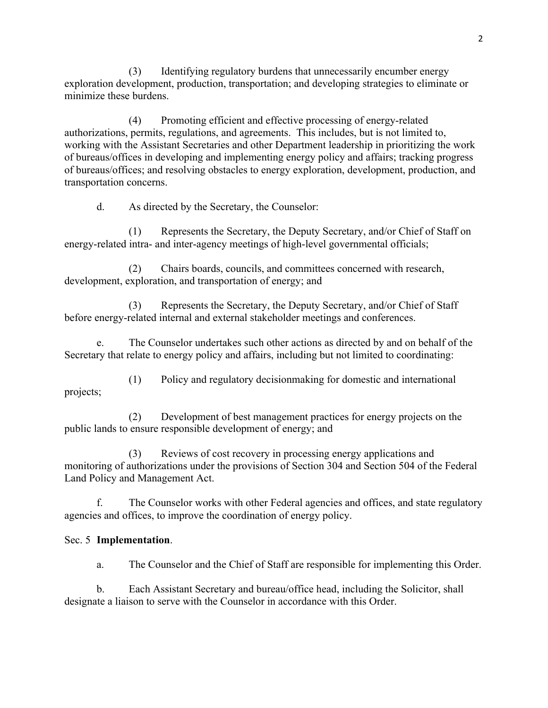(3) Identifying regulatory burdens that unnecessarily encumber energy exploration development, production, transportation; and developing strategies to eliminate or minimize these burdens.

(4) Promoting efficient and effective processing of energy-related authorizations, permits, regulations, and agreements. This includes, but is not limited to, working with the Assistant Secretaries and other Department leadership in prioritizing the work of bureaus/offices in developing and implementing energy policy and affairs; tracking progress of bureaus/offices; and resolving obstacles to energy exploration, development, production, and transportation concerns.

d. As directed by the Secretary, the Counselor:

(1) Represents the Secretary, the Deputy Secretary, and/or Chief of Staff on energy-related intra- and inter-agency meetings of high-level governmental officials;

(2) Chairs boards, councils, and committees concerned with research, development, exploration, and transportation of energy; and

(3) Represents the Secretary, the Deputy Secretary, and/or Chief of Staff before energy-related internal and external stakeholder meetings and conferences.

e. The Counselor undertakes such other actions as directed by and on behalf of the Secretary that relate to energy policy and affairs, including but not limited to coordinating:

(1) Policy and regulatory decisionmaking for domestic and international projects;

(2) Development of best management practices for energy projects on the public lands to ensure responsible development of energy; and

(3) Reviews of cost recovery in processing energy applications and monitoring of authorizations under the provisions of Section 304 and Section 504 of the Federal Land Policy and Management Act.

f. The Counselor works with other Federal agencies and offices, and state regulatory agencies and offices, to improve the coordination of energy policy.

## Sec. 5 **Implementation**.

a. The Counselor and the Chief of Staff are responsible for implementing this Order.

b. Each Assistant Secretary and bureau/office head, including the Solicitor, shall designate a liaison to serve with the Counselor in accordance with this Order.